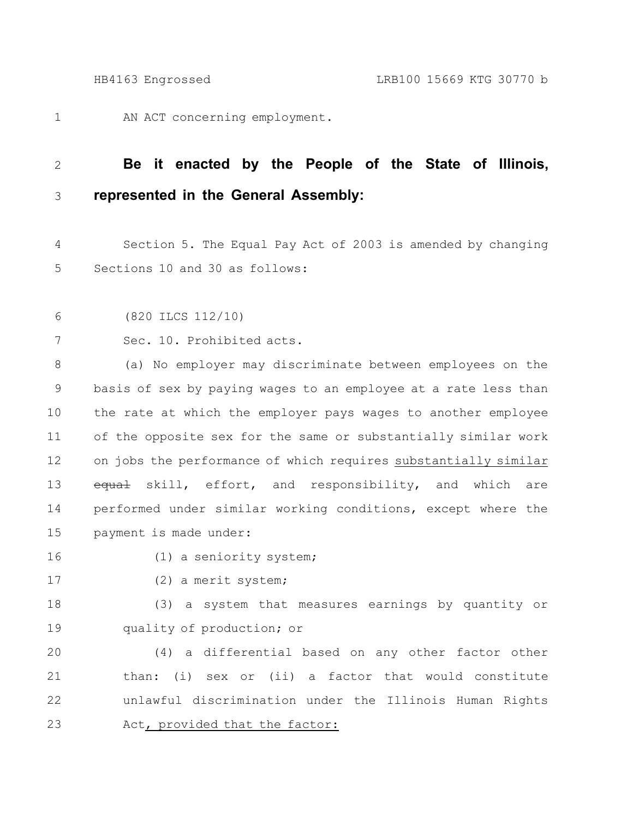AN ACT concerning employment. 1

## **Be it enacted by the People of the State of Illinois, represented in the General Assembly:** 2 3

Section 5. The Equal Pay Act of 2003 is amended by changing Sections 10 and 30 as follows: 4 5

```
(820 ILCS 112/10)
6
```

```
Sec. 10. Prohibited acts.
7
```
(a) No employer may discriminate between employees on the basis of sex by paying wages to an employee at a rate less than the rate at which the employer pays wages to another employee of the opposite sex for the same or substantially similar work on jobs the performance of which requires substantially similar equal skill, effort, and responsibility, and which are performed under similar working conditions, except where the payment is made under: 8 9 10 11 12 13 14 15

16

(1) a seniority system;

17

(2) a merit system;

(3) a system that measures earnings by quantity or quality of production; or 18 19

(4) a differential based on any other factor other than: (i) sex or (ii) a factor that would constitute unlawful discrimination under the Illinois Human Rights Act, provided that the factor: 20 21 22 23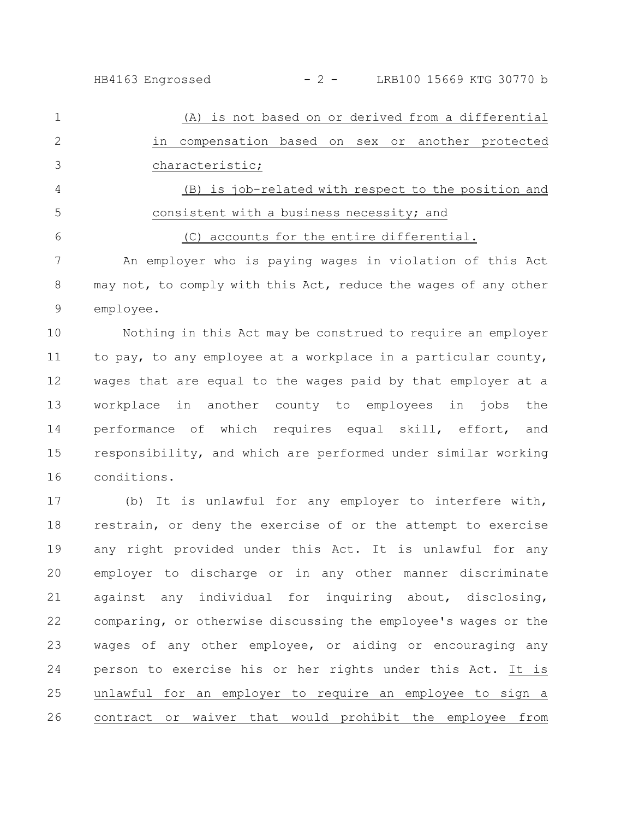HB4163 Engrossed - 2 - LRB100 15669 KTG 30770 b

(A) is not based on or derived from a differential in compensation based on sex or another protected characteristic; (B) is job-related with respect to the position and consistent with a business necessity; and (C) accounts for the entire differential. 1 2 3 4 5 6

An employer who is paying wages in violation of this Act may not, to comply with this Act, reduce the wages of any other employee. 7 8 9

Nothing in this Act may be construed to require an employer to pay, to any employee at a workplace in a particular county, wages that are equal to the wages paid by that employer at a workplace in another county to employees in jobs the performance of which requires equal skill, effort, and responsibility, and which are performed under similar working conditions. 10 11 12 13 14 15 16

(b) It is unlawful for any employer to interfere with, restrain, or deny the exercise of or the attempt to exercise any right provided under this Act. It is unlawful for any employer to discharge or in any other manner discriminate against any individual for inquiring about, disclosing, comparing, or otherwise discussing the employee's wages or the wages of any other employee, or aiding or encouraging any person to exercise his or her rights under this Act. It is unlawful for an employer to require an employee to sign a contract or waiver that would prohibit the employee from 17 18 19 20 21 22 23 24 25 26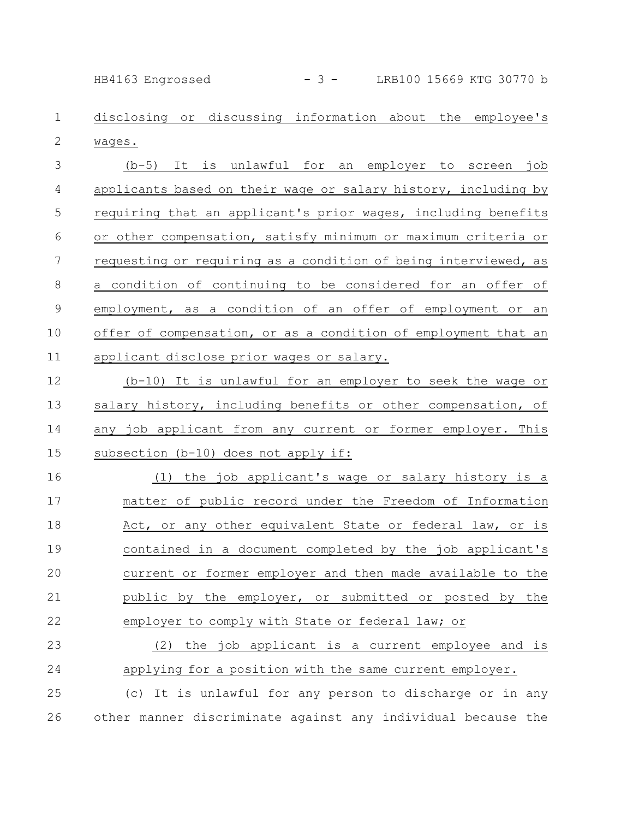HB4163 Engrossed - 3 - LRB100 15669 KTG 30770 b

disclosing or discussing information about the employee's wages. 1 2

(b-5) It is unlawful for an employer to screen job applicants based on their wage or salary history, including by requiring that an applicant's prior wages, including benefits or other compensation, satisfy minimum or maximum criteria or requesting or requiring as a condition of being interviewed, as a condition of continuing to be considered for an offer of employment, as a condition of an offer of employment or an offer of compensation, or as a condition of employment that an applicant disclose prior wages or salary. 3 4 5 6 7 8 9 10 11

(b-10) It is unlawful for an employer to seek the wage or salary history, including benefits or other compensation, of any job applicant from any current or former employer. This subsection (b-10) does not apply if: 12 13 14 15

(1) the job applicant's wage or salary history is a matter of public record under the Freedom of Information Act, or any other equivalent State or federal law, or is contained in a document completed by the job applicant's current or former employer and then made available to the public by the employer, or submitted or posted by the employer to comply with State or federal law; or 16 17 18 19 20 21 22

(2) the job applicant is a current employee and is applying for a position with the same current employer. 23 24

(c) It is unlawful for any person to discharge or in any other manner discriminate against any individual because the 25 26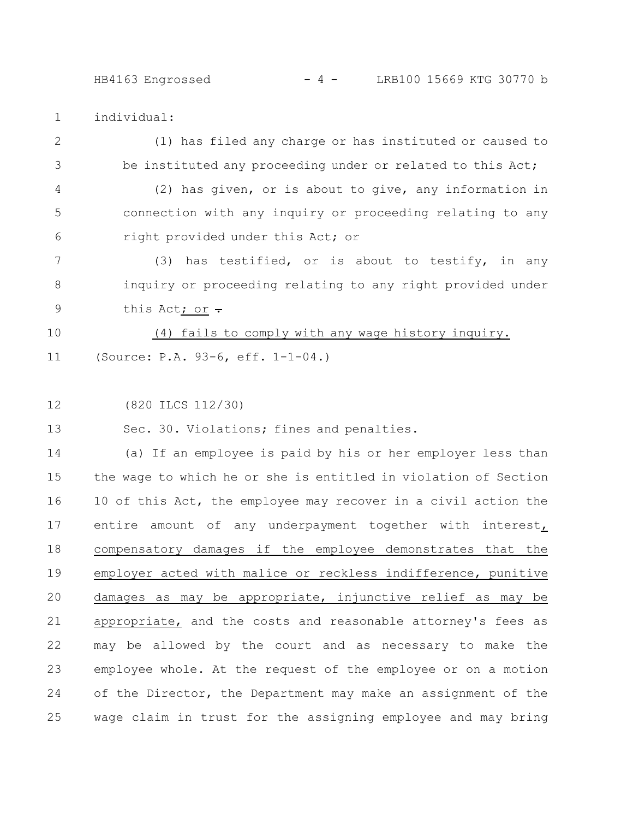## HB4163 Engrossed - 4 - LRB100 15669 KTG 30770 b

individual: 1

- (1) has filed any charge or has instituted or caused to be instituted any proceeding under or related to this Act; 2 3
- (2) has given, or is about to give, any information in connection with any inquiry or proceeding relating to any right provided under this Act; or 4 5 6
- (3) has testified, or is about to testify, in any inquiry or proceeding relating to any right provided under this Act; or  $\div$ 7 8 9
- (4) fails to comply with any wage history inquiry. (Source: P.A. 93-6, eff. 1-1-04.) 10 11
- (820 ILCS 112/30) 12

Sec. 30. Violations; fines and penalties. 13

(a) If an employee is paid by his or her employer less than the wage to which he or she is entitled in violation of Section 10 of this Act, the employee may recover in a civil action the entire amount of any underpayment together with interest, compensatory damages if the employee demonstrates that the employer acted with malice or reckless indifference, punitive damages as may be appropriate, injunctive relief as may be appropriate, and the costs and reasonable attorney's fees as may be allowed by the court and as necessary to make the employee whole. At the request of the employee or on a motion of the Director, the Department may make an assignment of the wage claim in trust for the assigning employee and may bring 14 15 16 17 18 19 20 21 22 23 24 25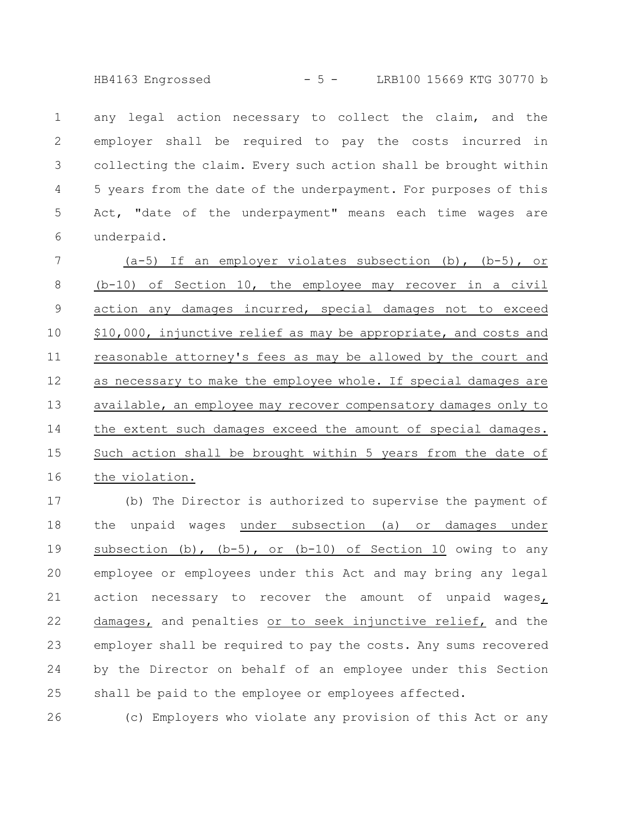HB4163 Engrossed - 5 - LRB100 15669 KTG 30770 b

any legal action necessary to collect the claim, and the employer shall be required to pay the costs incurred in collecting the claim. Every such action shall be brought within 5 years from the date of the underpayment. For purposes of this Act, "date of the underpayment" means each time wages are underpaid. 1 2 3 4 5 6

 $(a-5)$  If an employer violates subsection  $(b)$ ,  $(b-5)$ , or (b-10) of Section 10, the employee may recover in a civil action any damages incurred, special damages not to exceed \$10,000, injunctive relief as may be appropriate, and costs and reasonable attorney's fees as may be allowed by the court and as necessary to make the employee whole. If special damages are available, an employee may recover compensatory damages only to the extent such damages exceed the amount of special damages. Such action shall be brought within 5 years from the date of the violation. 7 8 9 10 11 12 13 14 15 16

(b) The Director is authorized to supervise the payment of the unpaid wages under subsection (a) or damages under subsection (b),  $(b-5)$ , or  $(b-10)$  of Section 10 owing to any employee or employees under this Act and may bring any legal action necessary to recover the amount of unpaid wages, damages, and penalties or to seek injunctive relief, and the employer shall be required to pay the costs. Any sums recovered by the Director on behalf of an employee under this Section shall be paid to the employee or employees affected. 17 18 19 20 21 22 23 24 25

(c) Employers who violate any provision of this Act or any 26